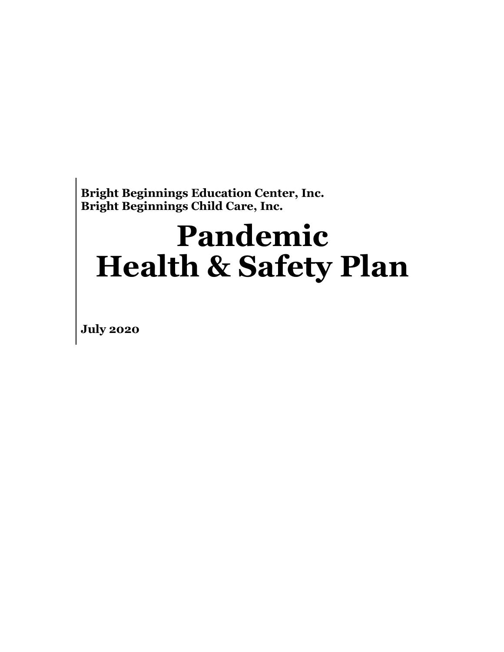# **Pandemic Health & Safety Plan**

**July 2020**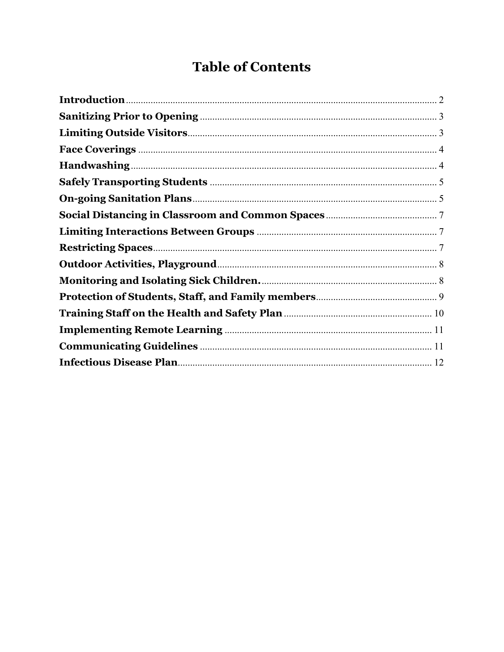# **Table of Contents**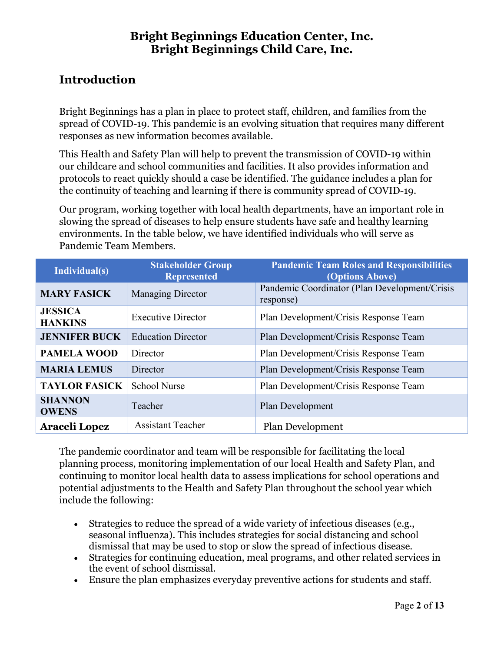# <span id="page-2-0"></span>**Introduction**

Bright Beginnings has a plan in place to protect staff, children, and families from the spread of COVID-19. This pandemic is an evolving situation that requires many different responses as new information becomes available.

This Health and Safety Plan will help to prevent the transmission of COVID-19 within our childcare and school communities and facilities. It also provides information and protocols to react quickly should a case be identified. The guidance includes a plan for the continuity of teaching and learning if there is community spread of COVID-19.

Our program, working together with local health departments, have an important role in slowing the spread of diseases to help ensure students have safe and healthy learning environments. In the table below, we have identified individuals who will serve as Pandemic Team Members.

| Individual(s)                    | <b>Stakeholder Group</b><br><b>Represented</b> | <b>Pandemic Team Roles and Responsibilities</b><br>(Options Above) |  |  |
|----------------------------------|------------------------------------------------|--------------------------------------------------------------------|--|--|
| <b>MARY FASICK</b>               | <b>Managing Director</b>                       | Pandemic Coordinator (Plan Development/Crisis<br>response)         |  |  |
| <b>JESSICA</b><br><b>HANKINS</b> | <b>Executive Director</b>                      | Plan Development/Crisis Response Team                              |  |  |
| <b>JENNIFER BUCK</b>             | <b>Education Director</b>                      | Plan Development/Crisis Response Team                              |  |  |
| <b>PAMELA WOOD</b>               | Director                                       | Plan Development/Crisis Response Team                              |  |  |
| <b>MARIA LEMUS</b>               | Director                                       | Plan Development/Crisis Response Team                              |  |  |
| <b>TAYLOR FASICK</b>             | <b>School Nurse</b>                            | Plan Development/Crisis Response Team                              |  |  |
| <b>SHANNON</b><br><b>OWENS</b>   | Teacher                                        | Plan Development                                                   |  |  |
| <b>Araceli Lopez</b>             | <b>Assistant Teacher</b>                       | Plan Development                                                   |  |  |

The pandemic coordinator and team will be responsible for facilitating the local planning process, monitoring implementation of our local Health and Safety Plan, and continuing to monitor local health data to assess implications for school operations and potential adjustments to the Health and Safety Plan throughout the school year which include the following:

- Strategies to reduce the spread of a wide variety of infectious diseases (e.g., seasonal influenza). This includes strategies for social distancing and school dismissal that may be used to stop or slow the spread of infectious disease.
- Strategies for continuing education, meal programs, and other related services in the event of school dismissal.
- Ensure the plan emphasizes everyday preventive actions for students and staff.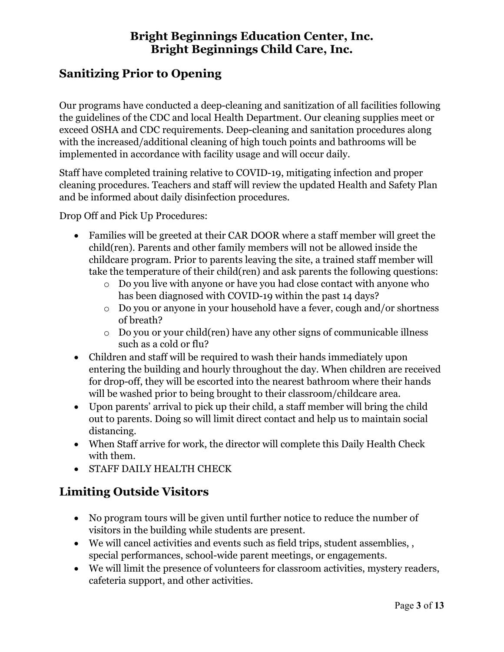# <span id="page-3-0"></span>**Sanitizing Prior to Opening**

Our programs have conducted a deep-cleaning and sanitization of all facilities following the guidelines of the CDC and local Health Department. Our cleaning supplies meet or exceed OSHA and CDC requirements. Deep-cleaning and sanitation procedures along with the increased/additional cleaning of high touch points and bathrooms will be implemented in accordance with facility usage and will occur daily.

Staff have completed training relative to COVID-19, mitigating infection and proper cleaning procedures. Teachers and staff will review the updated Health and Safety Plan and be informed about daily disinfection procedures.

Drop Off and Pick Up Procedures:

- Families will be greeted at their CAR DOOR where a staff member will greet the child(ren). Parents and other family members will not be allowed inside the childcare program. Prior to parents leaving the site, a trained staff member will take the temperature of their child(ren) and ask parents the following questions:
	- o Do you live with anyone or have you had close contact with anyone who has been diagnosed with COVID-19 within the past 14 days?
	- o Do you or anyone in your household have a fever, cough and/or shortness of breath?
	- o Do you or your child(ren) have any other signs of communicable illness such as a cold or flu?
- Children and staff will be required to wash their hands immediately upon entering the building and hourly throughout the day. When children are received for drop-off, they will be escorted into the nearest bathroom where their hands will be washed prior to being brought to their classroom/childcare area.
- Upon parents' arrival to pick up their child, a staff member will bring the child out to parents. Doing so will limit direct contact and help us to maintain social distancing.
- When Staff arrive for work, the director will complete this Daily Health Check with them.
- STAFF DAILY HEALTH CHECK

# <span id="page-3-1"></span>**Limiting Outside Visitors**

- No program tours will be given until further notice to reduce the number of visitors in the building while students are present.
- We will cancel activities and events such as field trips, student assemblies, , special performances, school-wide parent meetings, or engagements.
- We will limit the presence of volunteers for classroom activities, mystery readers, cafeteria support, and other activities.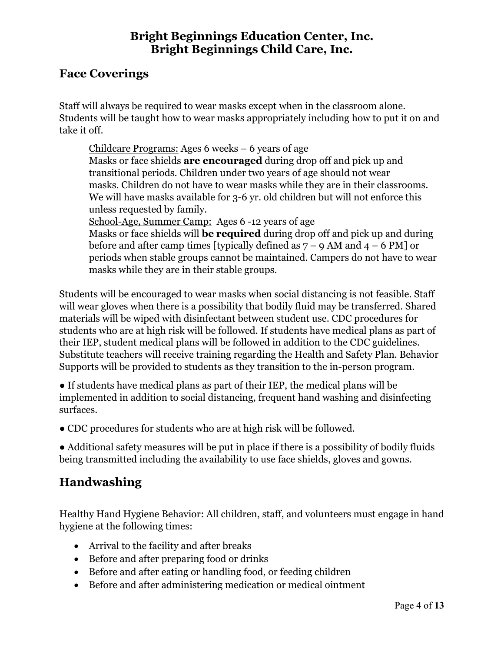#### <span id="page-4-0"></span>**Face Coverings**

Staff will always be required to wear masks except when in the classroom alone. Students will be taught how to wear masks appropriately including how to put it on and take it off.

Childcare Programs: Ages 6 weeks – 6 years of age Masks or face shields **are encouraged** during drop off and pick up and transitional periods. Children under two years of age should not wear masks. Children do not have to wear masks while they are in their classrooms. We will have masks available for 3-6 yr. old children but will not enforce this unless requested by family. School-Age, Summer Camp:Ages 6 -12 years of age

Masks or face shields will **be required** during drop off and pick up and during before and after camp times [typically defined as  $7 - 9$  AM and  $4 - 6$  PM] or periods when stable groups cannot be maintained. Campers do not have to wear masks while they are in their stable groups.

Students will be encouraged to wear masks when social distancing is not feasible. Staff will wear gloves when there is a possibility that bodily fluid may be transferred. Shared materials will be wiped with disinfectant between student use. CDC procedures for students who are at high risk will be followed. If students have medical plans as part of their IEP, student medical plans will be followed in addition to the CDC guidelines. Substitute teachers will receive training regarding the Health and Safety Plan. Behavior Supports will be provided to students as they transition to the in-person program.

● If students have medical plans as part of their IEP, the medical plans will be implemented in addition to social distancing, frequent hand washing and disinfecting surfaces.

• CDC procedures for students who are at high risk will be followed.

● Additional safety measures will be put in place if there is a possibility of bodily fluids being transmitted including the availability to use face shields, gloves and gowns.

# <span id="page-4-1"></span>**Handwashing**

Healthy Hand Hygiene Behavior: All children, staff, and volunteers must engage in hand hygiene at the following times:

- Arrival to the facility and after breaks
- Before and after preparing food or drinks
- Before and after eating or handling food, or feeding children
- Before and after administering medication or medical ointment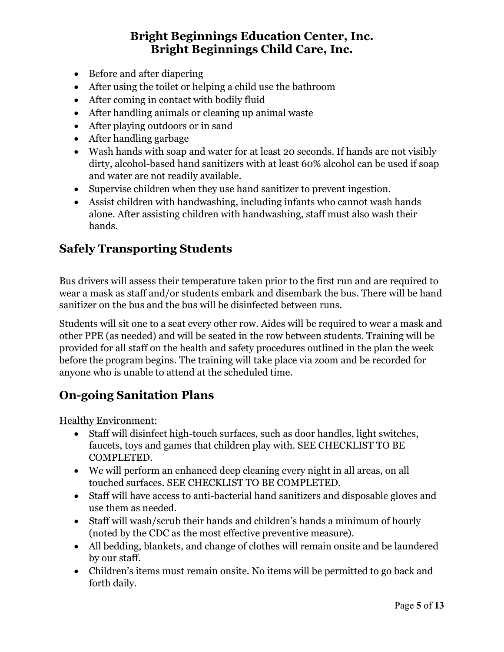- Before and after diapering
- After using the toilet or helping a child use the bathroom
- After coming in contact with bodily fluid
- After handling animals or cleaning up animal waste
- After playing outdoors or in sand
- After handling garbage
- Wash hands with soap and water for at least 20 seconds. If hands are not visibly dirty, alcohol-based hand sanitizers with at least 60% alcohol can be used if soap and water are not readily available.
- Supervise children when they use hand sanitizer to prevent ingestion.
- Assist children with handwashing, including infants who cannot wash hands alone. After assisting children with handwashing, staff must also wash their hands.

# <span id="page-5-0"></span>**Safely Transporting Students**

Bus drivers will assess their temperature taken prior to the first run and are required to wear a mask as staff and/or students embark and disembark the bus. There will be hand sanitizer on the bus and the bus will be disinfected between runs.

Students will sit one to a seat every other row. Aides will be required to wear a mask and other PPE (as needed) and will be seated in the row between students. Training will be provided for all staff on the health and safety procedures outlined in the plan the week before the program begins. The training will take place via zoom and be recorded for anyone who is unable to attend at the scheduled time.

# <span id="page-5-1"></span>**On-going Sanitation Plans**

Healthy Environment:

- Staff will disinfect high-touch surfaces, such as door handles, light switches, faucets, toys and games that children play with. SEE CHECKLIST TO BE COMPLETED.
- We will perform an enhanced deep cleaning every night in all areas, on all touched surfaces. SEE CHECKLIST TO BE COMPLETED.
- Staff will have access to anti-bacterial hand sanitizers and disposable gloves and use them as needed.
- Staff will wash/scrub their hands and children's hands a minimum of hourly (noted by the CDC as the most effective preventive measure).
- All bedding, blankets, and change of clothes will remain onsite and be laundered by our staff.
- Children's items must remain onsite. No items will be permitted to go back and forth daily.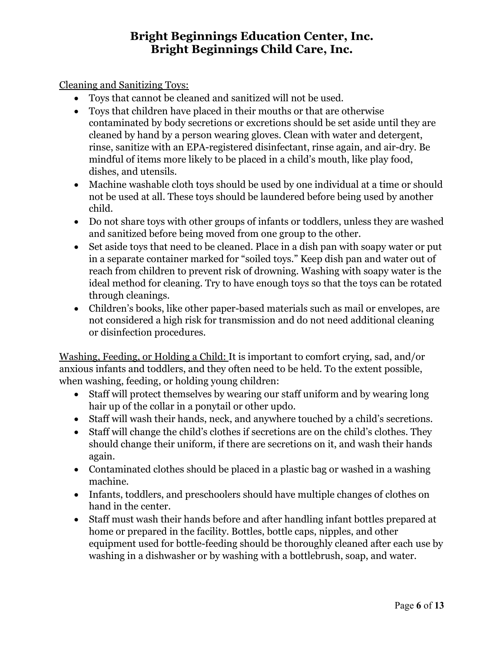Cleaning and Sanitizing Toys:

- Toys that cannot be cleaned and sanitized will not be used.
- Toys that children have placed in their mouths or that are otherwise contaminated by body secretions or excretions should be set aside until they are cleaned by hand by a person wearing gloves. Clean with water and detergent, rinse, sanitize with an EPA-registered disinfectant, rinse again, and air-dry. Be mindful of items more likely to be placed in a child's mouth, like play food, dishes, and utensils.
- Machine washable cloth toys should be used by one individual at a time or should not be used at all. These toys should be laundered before being used by another child.
- Do not share toys with other groups of infants or toddlers, unless they are washed and sanitized before being moved from one group to the other.
- Set aside toys that need to be cleaned. Place in a dish pan with soapy water or put in a separate container marked for "soiled toys." Keep dish pan and water out of reach from children to prevent risk of drowning. Washing with soapy water is the ideal method for cleaning. Try to have enough toys so that the toys can be rotated through cleanings.
- Children's books, like other paper-based materials such as mail or envelopes, are not considered a high risk for transmission and do not need additional cleaning or disinfection procedures.

Washing, Feeding, or Holding a Child: It is important to comfort crying, sad, and/or anxious infants and toddlers, and they often need to be held. To the extent possible, when washing, feeding, or holding young children:

- Staff will protect themselves by wearing our staff uniform and by wearing long hair up of the collar in a ponytail or other updo.
- Staff will wash their hands, neck, and anywhere touched by a child's secretions.
- Staff will change the child's clothes if secretions are on the child's clothes. They should change their uniform, if there are secretions on it, and wash their hands again.
- Contaminated clothes should be placed in a plastic bag or washed in a washing machine.
- Infants, toddlers, and preschoolers should have multiple changes of clothes on hand in the center.
- Staff must wash their hands before and after handling infant bottles prepared at home or prepared in the facility. Bottles, bottle caps, nipples, and other equipment used for bottle-feeding should be thoroughly cleaned after each use by washing in a dishwasher or by washing with a bottlebrush, soap, and water.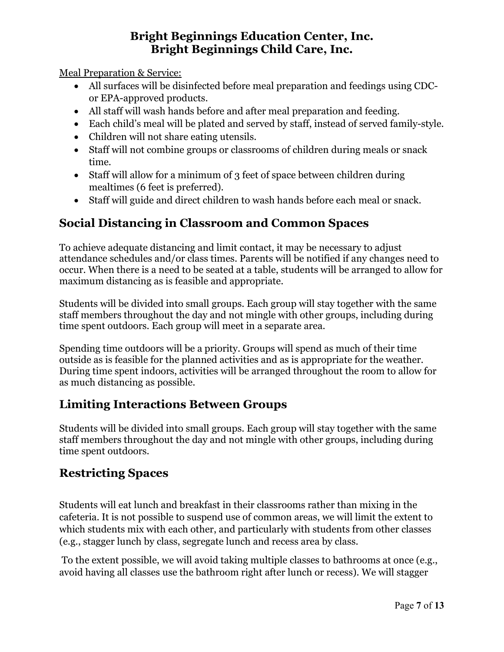Meal Preparation & Service:

- All surfaces will be disinfected before meal preparation and feedings using CDCor EPA-approved products.
- All staff will wash hands before and after meal preparation and feeding.
- Each child's meal will be plated and served by staff, instead of served family-style.
- Children will not share eating utensils.
- Staff will not combine groups or classrooms of children during meals or snack time.
- Staff will allow for a minimum of 3 feet of space between children during mealtimes (6 feet is preferred).
- Staff will guide and direct children to wash hands before each meal or snack.

# <span id="page-7-0"></span>**Social Distancing in Classroom and Common Spaces**

To achieve adequate distancing and limit contact, it may be necessary to adjust attendance schedules and/or class times. Parents will be notified if any changes need to occur. When there is a need to be seated at a table, students will be arranged to allow for maximum distancing as is feasible and appropriate.

Students will be divided into small groups. Each group will stay together with the same staff members throughout the day and not mingle with other groups, including during time spent outdoors. Each group will meet in a separate area.

Spending time outdoors will be a priority. Groups will spend as much of their time outside as is feasible for the planned activities and as is appropriate for the weather. During time spent indoors, activities will be arranged throughout the room to allow for as much distancing as possible.

# <span id="page-7-1"></span>**Limiting Interactions Between Groups**

Students will be divided into small groups. Each group will stay together with the same staff members throughout the day and not mingle with other groups, including during time spent outdoors.

#### <span id="page-7-2"></span>**Restricting Spaces**

Students will eat lunch and breakfast in their classrooms rather than mixing in the cafeteria. It is not possible to suspend use of common areas, we will limit the extent to which students mix with each other, and particularly with students from other classes (e.g., stagger lunch by class, segregate lunch and recess area by class.

To the extent possible, we will avoid taking multiple classes to bathrooms at once (e.g., avoid having all classes use the bathroom right after lunch or recess). We will stagger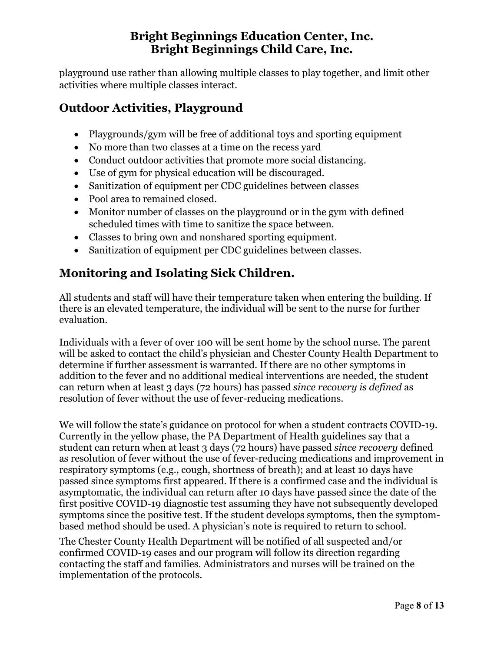playground use rather than allowing multiple classes to play together, and limit other activities where multiple classes interact.

# <span id="page-8-0"></span>**Outdoor Activities, Playground**

- Playgrounds/gym will be free of additional toys and sporting equipment
- No more than two classes at a time on the recess yard
- Conduct outdoor activities that promote more social distancing.
- Use of gym for physical education will be discouraged.
- Sanitization of equipment per CDC guidelines between classes
- Pool area to remained closed.
- Monitor number of classes on the playground or in the gym with defined scheduled times with time to sanitize the space between.
- Classes to bring own and nonshared sporting equipment.
- Sanitization of equipment per CDC guidelines between classes.

# <span id="page-8-1"></span>**Monitoring and Isolating Sick Children.**

All students and staff will have their temperature taken when entering the building. If there is an elevated temperature, the individual will be sent to the nurse for further evaluation.

Individuals with a fever of over 100 will be sent home by the school nurse. The parent will be asked to contact the child's physician and Chester County Health Department to determine if further assessment is warranted. If there are no other symptoms in addition to the fever and no additional medical interventions are needed, the student can return when at least 3 days (72 hours) has passed *since recovery is defined* as resolution of fever without the use of fever-reducing medications.

We will follow the state's guidance on protocol for when a student contracts COVID-19. Currently in the yellow phase, the PA Department of Health guidelines say that a student can return when at least 3 days (72 hours) have passed *since recovery* defined as resolution of fever without the use of fever-reducing medications and improvement in respiratory symptoms (e.g., cough, shortness of breath); and at least 10 days have passed since symptoms first appeared. If there is a confirmed case and the individual is asymptomatic, the individual can return after 10 days have passed since the date of the first positive COVID-19 diagnostic test assuming they have not subsequently developed symptoms since the positive test. If the student develops symptoms, then the symptombased method should be used. A physician's note is required to return to school.

The Chester County Health Department will be notified of all suspected and/or confirmed COVID-19 cases and our program will follow its direction regarding contacting the staff and families. Administrators and nurses will be trained on the implementation of the protocols.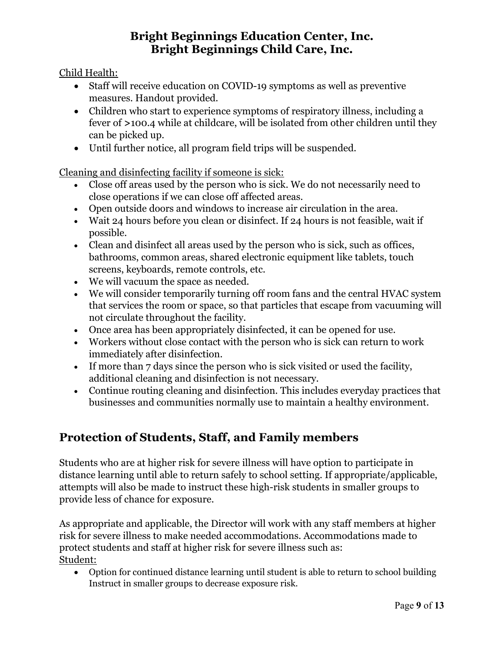Child Health:

- Staff will receive education on COVID-19 symptoms as well as preventive measures. Handout provided.
- Children who start to experience symptoms of respiratory illness, including a fever of **>**100.4 while at childcare, will be isolated from other children until they can be picked up.
- Until further notice, all program field trips will be suspended.

Cleaning and disinfecting facility if someone is sick:

- Close off areas used by the person who is sick. We do not necessarily need to close operations if we can close off affected areas.
- Open outside doors and windows to increase air circulation in the area.
- Wait 24 hours before you clean or disinfect. If 24 hours is not feasible, wait if possible.
- Clean and disinfect all areas used by the person who is sick, such as offices, bathrooms, common areas, shared electronic equipment like tablets, touch screens, keyboards, remote controls, etc.
- We will vacuum the space as needed.
- We will consider temporarily turning off room fans and the central HVAC system that services the room or space, so that particles that escape from vacuuming will not circulate throughout the facility.
- Once area has been appropriately disinfected, it can be opened for use.
- Workers without close contact with the person who is sick can return to work immediately after disinfection.
- If more than 7 days since the person who is sick visited or used the facility, additional cleaning and disinfection is not necessary.
- Continue routing cleaning and disinfection. This includes everyday practices that businesses and communities normally use to maintain a healthy environment.

# <span id="page-9-0"></span>**Protection of Students, Staff, and Family members**

Students who are at higher risk for severe illness will have option to participate in distance learning until able to return safely to school setting. If appropriate/applicable, attempts will also be made to instruct these high-risk students in smaller groups to provide less of chance for exposure.

As appropriate and applicable, the Director will work with any staff members at higher risk for severe illness to make needed accommodations. Accommodations made to protect students and staff at higher risk for severe illness such as: Student:

• Option for continued distance learning until student is able to return to school building Instruct in smaller groups to decrease exposure risk.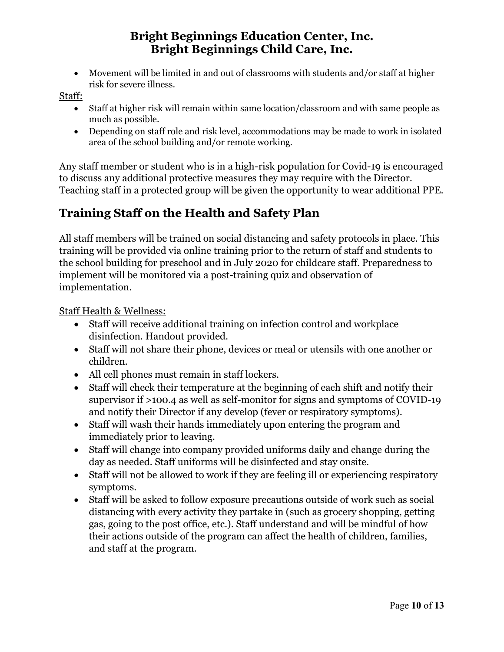• Movement will be limited in and out of classrooms with students and/or staff at higher risk for severe illness.

Staff:

- Staff at higher risk will remain within same location/classroom and with same people as much as possible.
- Depending on staff role and risk level, accommodations may be made to work in isolated area of the school building and/or remote working.

Any staff member or student who is in a high-risk population for Covid-19 is encouraged to discuss any additional protective measures they may require with the Director. Teaching staff in a protected group will be given the opportunity to wear additional PPE.

# <span id="page-10-0"></span>**Training Staff on the Health and Safety Plan**

All staff members will be trained on social distancing and safety protocols in place. This training will be provided via online training prior to the return of staff and students to the school building for preschool and in July 2020 for childcare staff. Preparedness to implement will be monitored via a post-training quiz and observation of implementation.

#### Staff Health & Wellness:

- Staff will receive additional training on infection control and workplace disinfection. Handout provided.
- Staff will not share their phone, devices or meal or utensils with one another or children.
- All cell phones must remain in staff lockers.
- Staff will check their temperature at the beginning of each shift and notify their supervisor if >100.4 as well as self-monitor for signs and symptoms of COVID-19 and notify their Director if any develop (fever or respiratory symptoms).
- Staff will wash their hands immediately upon entering the program and immediately prior to leaving.
- Staff will change into company provided uniforms daily and change during the day as needed. Staff uniforms will be disinfected and stay onsite.
- Staff will not be allowed to work if they are feeling ill or experiencing respiratory symptoms.
- Staff will be asked to follow exposure precautions outside of work such as social distancing with every activity they partake in (such as grocery shopping, getting gas, going to the post office, etc.). Staff understand and will be mindful of how their actions outside of the program can affect the health of children, families, and staff at the program.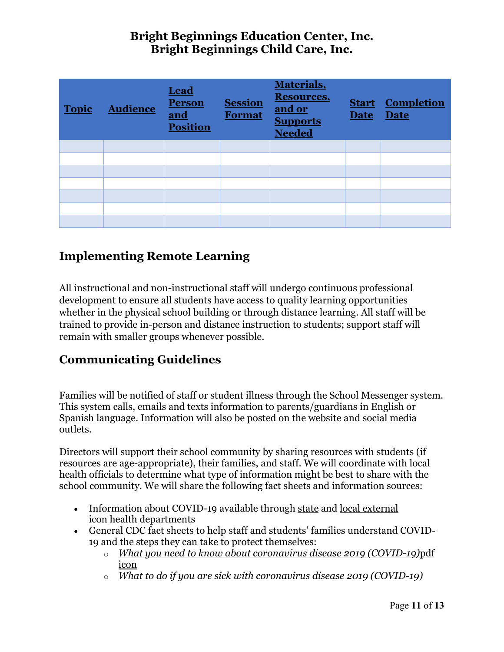| <b>Topic</b> | <b>Audience</b> | Lead<br><b>Person</b><br>and<br><b>Position</b> | <b>Session</b><br><b>Format</b> | Materials,<br><b>Resources,</b><br>and or<br><b>Supports</b><br><b>Needed</b> | <b>Date</b> | <b>Start Completion</b><br><b>Date</b> |
|--------------|-----------------|-------------------------------------------------|---------------------------------|-------------------------------------------------------------------------------|-------------|----------------------------------------|
|              |                 |                                                 |                                 |                                                                               |             |                                        |
|              |                 |                                                 |                                 |                                                                               |             |                                        |
|              |                 |                                                 |                                 |                                                                               |             |                                        |
|              |                 |                                                 |                                 |                                                                               |             |                                        |
|              |                 |                                                 |                                 |                                                                               |             |                                        |
|              |                 |                                                 |                                 |                                                                               |             |                                        |
|              |                 |                                                 |                                 |                                                                               |             |                                        |

# <span id="page-11-0"></span>**Implementing Remote Learning**

All instructional and non-instructional staff will undergo continuous professional development to ensure all students have access to quality learning opportunities whether in the physical school building or through distance learning. All staff will be trained to provide in-person and distance instruction to students; support staff will remain with smaller groups whenever possible.

# <span id="page-11-1"></span>**Communicating Guidelines**

Families will be notified of staff or student illness through the School Messenger system. This system calls, emails and texts information to parents/guardians in English or Spanish language. Information will also be posted on the website and social media outlets.

Directors will support their school community by sharing resources with students (if resources are age-appropriate), their families, and staff. We will coordinate with local health officials to determine what type of information might be best to share with the school community. We will share the following fact sheets and information sources:

- Information about COVID-19 available through [state](https://www.cdc.gov/publichealthgateway/healthdirectories/healthdepartments.html) and local [external](https://www.naccho.org/membership/lhd-directory) [icon](https://www.naccho.org/membership/lhd-directory) health departments
- General CDC fact sheets to help staff and students' families understand COVID-19 and the steps they can take to protect themselves:
	- o *[What you need to know about coronavirus disease 2019 \(COVID-19\)](https://www.cdc.gov/coronavirus/2019-ncov/downloads/2019-ncov-factsheet.pdf)*pdf [icon](https://www.cdc.gov/coronavirus/2019-ncov/downloads/2019-ncov-factsheet.pdf)
	- o *[What to do if you are sick with coronavirus disease 2019 \(COVID-19\)](https://www.cdc.gov/coronavirus/2019-ncov/if-you-are-sick/steps-when-sick.html)*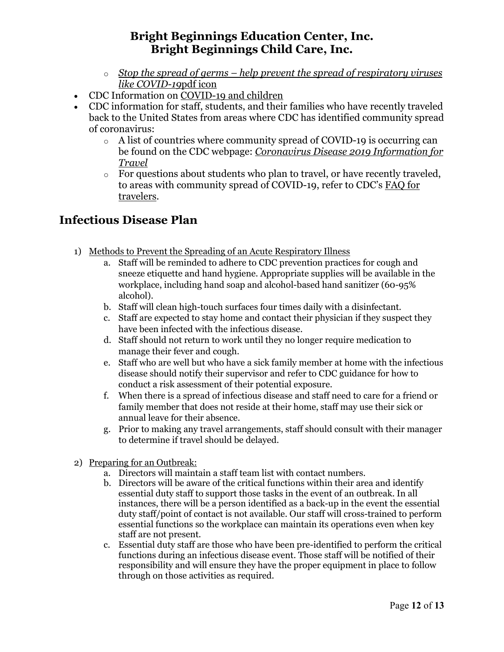- o *[Stop the spread of germs help prevent the spread of respiratory viruses](https://www.cdc.gov/coronavirus/2019-ncov/downloads/stop-the-spread-of-germs.pdf)  [like COVID-19](https://www.cdc.gov/coronavirus/2019-ncov/downloads/stop-the-spread-of-germs.pdf)*pdf icon
- CDC Information on [COVID-19 and children](https://www.cdc.gov/coronavirus/2019-ncov/faq.html)
- CDC information for staff, students, and their families who have recently traveled back to the United States from areas where CDC has identified community spread of coronavirus:
	- o A list of countries where community spread of COVID-19 is occurring can be found on the CDC webpage: *[Coronavirus Disease 2019 Information for](https://www.cdc.gov/coronavirus/2019-ncov/travelers/index.html)  [Travel](https://www.cdc.gov/coronavirus/2019-ncov/travelers/index.html)*
	- $\circ$  For questions about students who plan to travel, or have recently traveled, to areas with community spread of COVID-19, refer to CDC's [FAQ for](https://www.cdc.gov/coronavirus/2019-ncov/travelers/faqs.html)  [travelers.](https://www.cdc.gov/coronavirus/2019-ncov/travelers/faqs.html)

#### <span id="page-12-0"></span>**Infectious Disease Plan**

- 1) Methods to Prevent the Spreading of an Acute Respiratory Illness
	- a. Staff will be reminded to adhere to CDC prevention practices for cough and sneeze etiquette and hand hygiene. Appropriate supplies will be available in the workplace, including hand soap and alcohol-based hand sanitizer (60-95% alcohol).
	- b. Staff will clean high-touch surfaces four times daily with a disinfectant.
	- c. Staff are expected to stay home and contact their physician if they suspect they have been infected with the infectious disease.
	- d. Staff should not return to work until they no longer require medication to manage their fever and cough.
	- e. Staff who are well but who have a sick family member at home with the infectious disease should notify their supervisor and refer to CDC guidance for how to conduct a risk assessment of their potential exposure.
	- f. When there is a spread of infectious disease and staff need to care for a friend or family member that does not reside at their home, staff may use their sick or annual leave for their absence.
	- g. Prior to making any travel arrangements, staff should consult with their manager to determine if travel should be delayed.
- 2) Preparing for an Outbreak:
	- a. Directors will maintain a staff team list with contact numbers.
	- b. Directors will be aware of the critical functions within their area and identify essential duty staff to support those tasks in the event of an outbreak. In all instances, there will be a person identified as a back-up in the event the essential duty staff/point of contact is not available. Our staff will cross-trained to perform essential functions so the workplace can maintain its operations even when key staff are not present.
	- c. Essential duty staff are those who have been pre-identified to perform the critical functions during an infectious disease event. Those staff will be notified of their responsibility and will ensure they have the proper equipment in place to follow through on those activities as required.